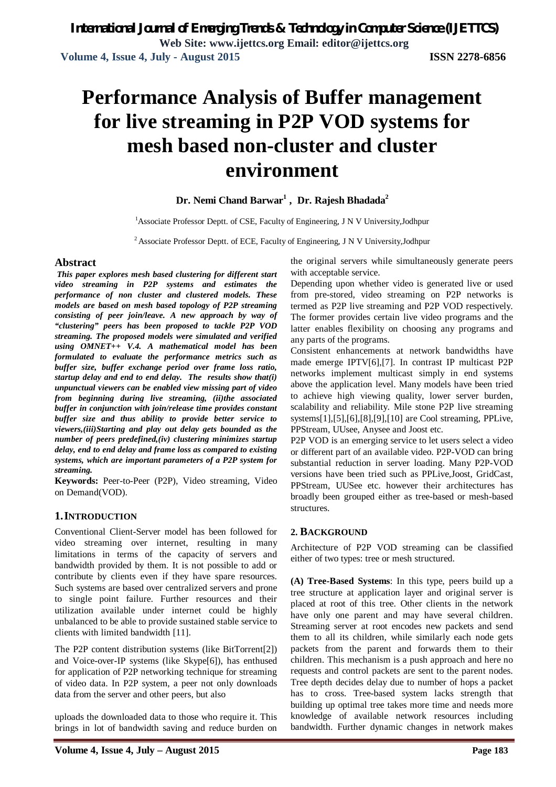# **Performance Analysis of Buffer management for live streaming in P2P VOD systems for mesh based non-cluster and cluster environment**

### **Dr. Nemi Chand Barwar<sup>1</sup> , Dr. Rajesh Bhadada<sup>2</sup>**

<sup>1</sup>Associate Professor Deptt. of CSE, Faculty of Engineering, J N V University,Jodhpur

<sup>2</sup> Associate Professor Deptt. of ECE, Faculty of Engineering, J N V University,Jodhpur

#### **Abstract**

*This paper explores mesh based clustering for different start video streaming in P2P systems and estimates the performance of non cluster and clustered models. These models are based on mesh based topology of P2P streaming consisting of peer join/leave. A new approach by way of "clustering" peers has been proposed to tackle P2P VOD streaming. The proposed models were simulated and verified using OMNET++ V.4. A mathematical model has been formulated to evaluate the performance metrics such as buffer size, buffer exchange period over frame loss ratio, startup delay and end to end delay. The results show that(i) unpunctual viewers can be enabled view missing part of video from beginning during live streaming, (ii)the associated buffer in conjunction with join/release time provides constant buffer size and thus ability to provide better service to viewers,(iii)Starting and play out delay gets bounded as the number of peers predefined,(iv) clustering minimizes startup delay, end to end delay and frame loss as compared to existing systems, which are important parameters of a P2P system for streaming.*

**Keywords:** Peer-to-Peer (P2P), Video streaming, Video on Demand(VOD).

### **1.INTRODUCTION**

Conventional Client-Server model has been followed for video streaming over internet, resulting in many limitations in terms of the capacity of servers and bandwidth provided by them. It is not possible to add or contribute by clients even if they have spare resources. Such systems are based over centralized servers and prone to single point failure. Further resources and their utilization available under internet could be highly unbalanced to be able to provide sustained stable service to clients with limited bandwidth [11].

The P2P content distribution systems (like BitTorrent[2]) and Voice-over-IP systems (like Skype[6]), has enthused for application of P2P networking technique for streaming of video data. In P2P system, a peer not only downloads data from the server and other peers, but also

uploads the downloaded data to those who require it. This brings in lot of bandwidth saving and reduce burden on the original servers while simultaneously generate peers with acceptable service.

Depending upon whether video is generated live or used from pre-stored, video streaming on P2P networks is termed as P2P live streaming and P2P VOD respectively. The former provides certain live video programs and the latter enables flexibility on choosing any programs and any parts of the programs.

Consistent enhancements at network bandwidths have made emerge IPTV[6],[7]. In contrast IP multicast P2P networks implement multicast simply in end systems above the application level. Many models have been tried to achieve high viewing quality, lower server burden, scalability and reliability. Mile stone P2P live streaming systems[1],[5],[6],[8],[9],[10] are Cool streaming, PPLive, PPStream, UUsee, Anysee and Joost etc.

P2P VOD is an emerging service to let users select a video or different part of an available video. P2P-VOD can bring substantial reduction in server loading. Many P2P-VOD versions have been tried such as PPLive,Joost, GridCast, PPStream, UUSee etc. however their architectures has broadly been grouped either as tree-based or mesh-based structures.

### **2. BACKGROUND**

Architecture of P2P VOD streaming can be classified either of two types: tree or mesh structured.

**(A) Tree-Based Systems**: In this type, peers build up a tree structure at application layer and original server is placed at root of this tree. Other clients in the network have only one parent and may have several children. Streaming server at root encodes new packets and send them to all its children, while similarly each node gets packets from the parent and forwards them to their children. This mechanism is a push approach and here no requests and control packets are sent to the parent nodes. Tree depth decides delay due to number of hops a packet has to cross. Tree-based system lacks strength that building up optimal tree takes more time and needs more knowledge of available network resources including bandwidth. Further dynamic changes in network makes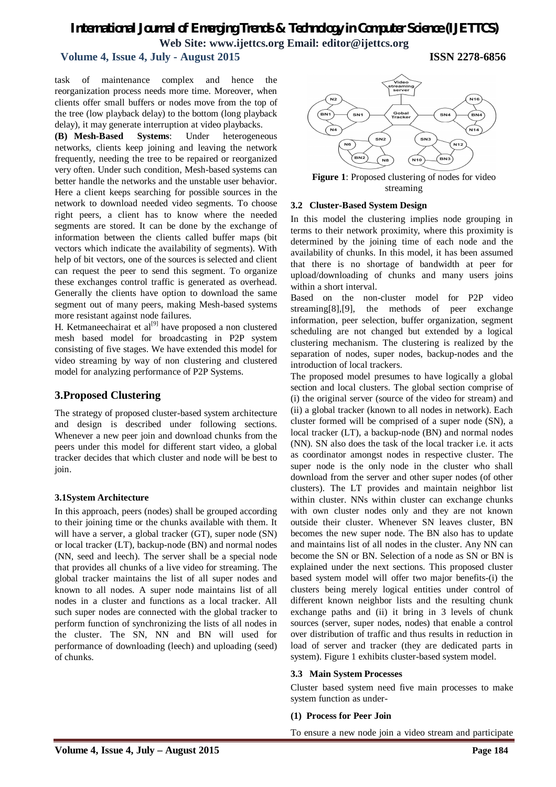# *International Journal of Emerging Trends & Technology in Computer Science (IJETTCS)*

**Web Site: www.ijettcs.org Email: editor@ijettcs.org** 

### **Volume 4, Issue 4, July - August 2015 ISSN 2278-6856**

task of maintenance complex and hence the reorganization process needs more time. Moreover, when clients offer small buffers or nodes move from the top of the tree (low playback delay) to the bottom (long playback delay), it may generate interruption at video playbacks.

**(B) Mesh-Based Systems**: Under heterogeneous networks, clients keep joining and leaving the network frequently, needing the tree to be repaired or reorganized very often. Under such condition, Mesh-based systems can better handle the networks and the unstable user behavior. Here a client keeps searching for possible sources in the network to download needed video segments. To choose right peers, a client has to know where the needed segments are stored. It can be done by the exchange of information between the clients called buffer maps (bit vectors which indicate the availability of segments). With help of bit vectors, one of the sources is selected and client can request the peer to send this segment. To organize these exchanges control traffic is generated as overhead. Generally the clients have option to download the same segment out of many peers, making Mesh-based systems more resistant against node failures.

H. Ketmaneechairat et al<sup>[9]</sup> have proposed a non clustered mesh based model for broadcasting in P2P system consisting of five stages. We have extended this model for video streaming by way of non clustering and clustered model for analyzing performance of P2P Systems.

### **3.Proposed Clustering**

The strategy of proposed cluster-based system architecture and design is described under following sections. Whenever a new peer join and download chunks from the peers under this model for different start video, a global tracker decides that which cluster and node will be best to join.

#### **3.1System Architecture**

In this approach, peers (nodes) shall be grouped according to their joining time or the chunks available with them. It will have a server, a global tracker (GT), super node (SN) or local tracker (LT), backup-node (BN) and normal nodes (NN, seed and leech). The server shall be a special node that provides all chunks of a live video for streaming. The global tracker maintains the list of all super nodes and known to all nodes. A super node maintains list of all nodes in a cluster and functions as a local tracker. All such super nodes are connected with the global tracker to perform function of synchronizing the lists of all nodes in the cluster. The SN, NN and BN will used for performance of downloading (leech) and uploading (seed) of chunks.



**Figure 1**: Proposed clustering of nodes for video streaming

#### **3.2 Cluster-Based System Design**

In this model the clustering implies node grouping in terms to their network proximity, where this proximity is determined by the joining time of each node and the availability of chunks. In this model, it has been assumed that there is no shortage of bandwidth at peer for upload/downloading of chunks and many users joins within a short interval.

Based on the non-cluster model for P2P video streaming[8],[9], the methods of peer exchange information, peer selection, buffer organization, segment scheduling are not changed but extended by a logical clustering mechanism. The clustering is realized by the separation of nodes, super nodes, backup-nodes and the introduction of local trackers.

The proposed model presumes to have logically a global section and local clusters. The global section comprise of (i) the original server (source of the video for stream) and (ii) a global tracker (known to all nodes in network). Each cluster formed will be comprised of a super node (SN), a local tracker (LT), a backup-node (BN) and normal nodes (NN). SN also does the task of the local tracker i.e. it acts as coordinator amongst nodes in respective cluster. The super node is the only node in the cluster who shall download from the server and other super nodes (of other clusters). The LT provides and maintain neighbor list within cluster. NNs within cluster can exchange chunks with own cluster nodes only and they are not known outside their cluster. Whenever SN leaves cluster, BN becomes the new super node. The BN also has to update and maintains list of all nodes in the cluster. Any NN can become the SN or BN. Selection of a node as SN or BN is explained under the next sections. This proposed cluster based system model will offer two major benefits-(i) the clusters being merely logical entities under control of different known neighbor lists and the resulting chunk exchange paths and (ii) it bring in 3 levels of chunk sources (server, super nodes, nodes) that enable a control over distribution of traffic and thus results in reduction in load of server and tracker (they are dedicated parts in system). Figure 1 exhibits cluster-based system model.

#### **3.3 Main System Processes**

Cluster based system need five main processes to make system function as under-

#### **(1) Process for Peer Join**

To ensure a new node join a video stream and participate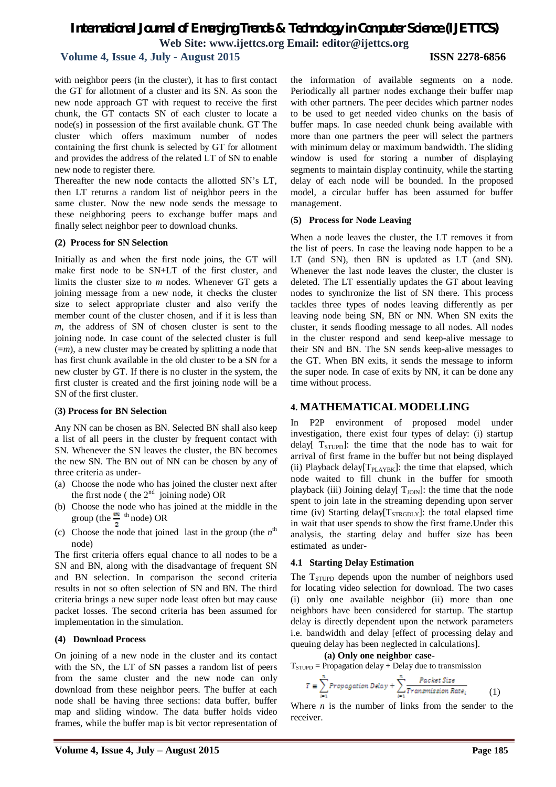### **Volume 4, Issue 4, July - August 2015 ISSN 2278-6856**

with neighbor peers (in the cluster), it has to first contact the GT for allotment of a cluster and its SN. As soon the new node approach GT with request to receive the first chunk, the GT contacts SN of each cluster to locate a node(s) in possession of the first available chunk. GT The cluster which offers maximum number of nodes containing the first chunk is selected by GT for allotment and provides the address of the related LT of SN to enable new node to register there.

Thereafter the new node contacts the allotted SN's LT, then LT returns a random list of neighbor peers in the same cluster. Now the new node sends the message to these neighboring peers to exchange buffer maps and finally select neighbor peer to download chunks.

#### **(2) Process for SN Selection**

Initially as and when the first node joins, the GT will make first node to be SN+LT of the first cluster, and limits the cluster size to *m* nodes. Whenever GT gets a joining message from a new node, it checks the cluster size to select appropriate cluster and also verify the member count of the cluster chosen, and if it is less than *m*, the address of SN of chosen cluster is sent to the joining node. In case count of the selected cluster is full (=*m*), a new cluster may be created by splitting a node that has first chunk available in the old cluster to be a SN for a new cluster by GT. If there is no cluster in the system, the first cluster is created and the first joining node will be a SN of the first cluster.

#### (**3) Process for BN Selection**

Any NN can be chosen as BN. Selected BN shall also keep a list of all peers in the cluster by frequent contact with SN. Whenever the SN leaves the cluster, the BN becomes the new SN. The BN out of NN can be chosen by any of three criteria as under-

- (a) Choose the node who has joined the cluster next after the first node (the  $2<sup>nd</sup>$  joining node) OR
- (b) Choose the node who has joined at the middle in the group (the  $\frac{m}{2}$ <sup>th</sup> node) OR
- (c) Choose the node that joined last in the group (the  $n<sup>th</sup>$ node)

The first criteria offers equal chance to all nodes to be a SN and BN, along with the disadvantage of frequent SN and BN selection. In comparison the second criteria results in not so often selection of SN and BN. The third criteria brings a new super node least often but may cause packet losses. The second criteria has been assumed for implementation in the simulation.

#### **(4) Download Process**

On joining of a new node in the cluster and its contact with the SN, the LT of SN passes a random list of peers from the same cluster and the new node can only download from these neighbor peers. The buffer at each node shall be having three sections: data buffer, buffer map and sliding window. The data buffer holds video frames, while the buffer map is bit vector representation of

the information of available segments on a node. Periodically all partner nodes exchange their buffer map with other partners. The peer decides which partner nodes to be used to get needed video chunks on the basis of buffer maps. In case needed chunk being available with more than one partners the peer will select the partners with minimum delay or maximum bandwidth. The sliding window is used for storing a number of displaying segments to maintain display continuity, while the starting delay of each node will be bounded. In the proposed model, a circular buffer has been assumed for buffer management.

#### (**5) Process for Node Leaving**

When a node leaves the cluster, the LT removes it from the list of peers. In case the leaving node happen to be a LT (and SN), then BN is updated as LT (and SN). Whenever the last node leaves the cluster, the cluster is deleted. The LT essentially updates the GT about leaving nodes to synchronize the list of SN there. This process tackles three types of nodes leaving differently as per leaving node being SN, BN or NN. When SN exits the cluster, it sends flooding message to all nodes. All nodes in the cluster respond and send keep-alive message to their SN and BN. The SN sends keep-alive messages to the GT. When BN exits, it sends the message to inform the super node. In case of exits by NN, it can be done any time without process.

### **4. MATHEMATICAL MODELLING**

In P2P environment of proposed model under investigation, there exist four types of delay: (i) startup delay  $T_{\text{STUPD}}$ : the time that the node has to wait for arrival of first frame in the buffer but not being displayed (ii) Playback delay $[T_{\text{PLAYBK}}]$ : the time that elapsed, which node waited to fill chunk in the buffer for smooth playback (iii) Joining delay  $T_{JON}$ : the time that the node spent to join late in the streaming depending upon server time (iv) Starting delay[ $T_{STRGDLY}$ ]: the total elapsed time in wait that user spends to show the first frame.Under this analysis, the starting delay and buffer size has been estimated as under-

#### **4.1 Starting Delay Estimation**

The  $T_{STUPD}$  depends upon the number of neighbors used for locating video selection for download. The two cases (i) only one available neighbor (ii) more than one neighbors have been considered for startup. The startup delay is directly dependent upon the network parameters i.e. bandwidth and delay [effect of processing delay and queuing delay has been neglected in calculations].

#### **(a) Only one neighbor case-**

 $T_{STUPD}$  = Propagation delay + Delay due to transmission

$$
T \equiv \sum_{i=1}^{n} Propagation\ Delay + \sum_{i=1}^{n} \frac{PackerSize}{Transmission Rate_i}
$$
 (1)

Where  $n$  is the number of links from the sender to the receiver.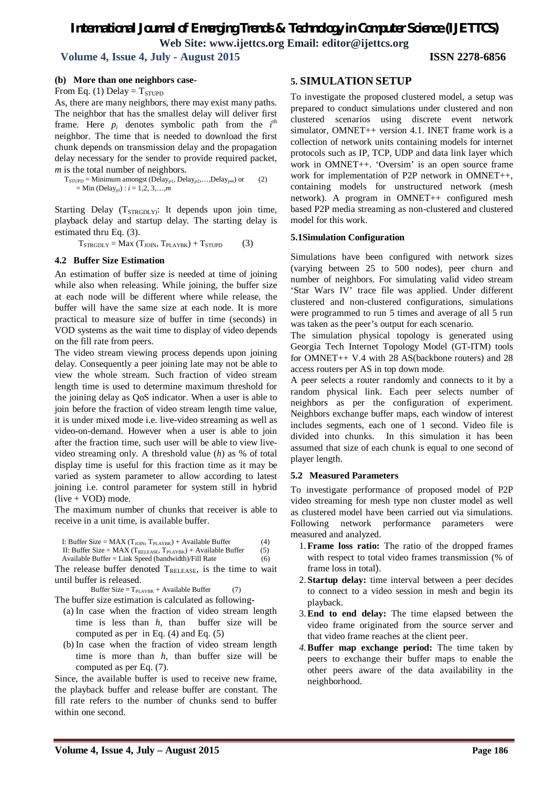# *International Journal of Emerging Trends & Technology in Computer Science (IJETTCS)*

**Web Site: www.ijettcs.org Email: editor@ijettcs.org** 

 **Volume 4, Issue 4, July - August 2015 ISSN 2278-6856**

#### **(b) More than one neighbors case-**

From Eq. (1) Delay =  $T_{\text{STUPD}}$ 

As, there are many neighbors, there may exist many paths. The neighbor that has the smallest delay will deliver first frame. Here  $p_i$  denotes symbolic path from the  $i^{th}$ neighbor. The time that is needed to download the first chunk depends on transmission delay and the propagation delay necessary for the sender to provide required packet, *m* is the total number of neighbors.

 $T_{STUPD}$  = Minimum amongst (Delay<sub>*p*1</sub>, Delay<sub>*p*2</sub>,...,Delay<sub>*pm*</sub>) or (2) = Min (Delay*pi*) : *i* = 1,2, 3,…,*m*

Starting Delay  $(T_{STRGDLY})$ : It depends upon join time, playback delay and startup delay. The starting delay is estimated thru Eq. (3).

 $T_{STRGDLY} = Max (T_{JON}, T_{PLAYBK}) + T_{STUPD}$  (3)

#### **4.2 Buffer Size Estimation**

An estimation of buffer size is needed at time of joining while also when releasing. While joining, the buffer size at each node will be different where while release, the buffer will have the same size at each node. It is more practical to measure size of buffer in time (seconds) in VOD systems as the wait time to display of video depends on the fill rate from peers.

The video stream viewing process depends upon joining delay. Consequently a peer joining late may not be able to view the whole stream. Such fraction of video stream length time is used to determine maximum threshold for the joining delay as QoS indicator. When a user is able to join before the fraction of video stream length time value, it is under mixed mode i.e. live-video streaming as well as video-on-demand. However when a user is able to join after the fraction time, such user will be able to view livevideo streaming only. A threshold value (*h*) as % of total display time is useful for this fraction time as it may be varied as system parameter to allow according to latest joining i.e. control parameter for system still in hybrid  $(live + VOD)$  mode.

The maximum number of chunks that receiver is able to receive in a unit time, is available buffer.

| I: Buffer Size = MAX $(T_{JON}, T_{PLAYBK})$ + Available Buffer           | (4) |
|---------------------------------------------------------------------------|-----|
| II: Buffer Size = MAX ( $T_{RELEASE}$ , $T_{PLAYBK}$ ) + Available Buffer | (5) |
| Available Buffer = Link Speed (bandwidth)/Fill Rate                       | (6) |

The release buffer denoted  $T_{RELEASE}$ , is the time to wait until buffer is released.

Buffer Size =  $T_{PIAYBK}$  + Available Buffer (7)

The buffer size estimation is calculated as following-

- (a) In case when the fraction of video stream length time is less than *h*, than buffer size will be computed as per in Eq. (4) and Eq. (5)
- (b) In case when the fraction of video stream length time is more than *h*, than buffer size will be computed as per Eq. (7).

Since, the available buffer is used to receive new frame, the playback buffer and release buffer are constant. The fill rate refers to the number of chunks send to buffer within one second.

### **5. SIMULATION SETUP**

To investigate the proposed clustered model, a setup was prepared to conduct simulations under clustered and non clustered scenarios using discrete event network simulator, OMNET++ version 4.1. INET frame work is a collection of network units containing models for internet protocols such as IP, TCP, UDP and data link layer which work in OMNET++. 'Oversim' is an open source frame work for implementation of P2P network in OMNET++, containing models for unstructured network (mesh network). A program in OMNET++ configured mesh based P2P media streaming as non-clustered and clustered model for this work.

#### **5.1Simulation Configuration**

Simulations have been configured with network sizes (varying between 25 to 500 nodes), peer churn and number of neighbors. For simulating valid video stream 'Star Wars IV' trace file was applied. Under different clustered and non-clustered configurations, simulations were programmed to run 5 times and average of all 5 run was taken as the peer's output for each scenario.

The simulation physical topology is generated using Georgia Tech Internet Topology Model (GT-ITM) tools for OMNET++ V.4 with 28 AS(backbone routers) and 28 access routers per AS in top down mode.

A peer selects a router randomly and connects to it by a random physical link. Each peer selects number of neighbors as per the configuration of experiment. Neighbors exchange buffer maps, each window of interest includes segments, each one of 1 second. Video file is divided into chunks. In this simulation it has been assumed that size of each chunk is equal to one second of player length.

#### **5.2 Measured Parameters**

To investigate performance of proposed model of P2P video streaming for mesh type non cluster model as well as clustered model have been carried out via simulations. Following network performance parameters were measured and analyzed.

- 1.**Frame loss ratio:** The ratio of the dropped frames with respect to total video frames transmission (% of frame loss in total).
- 2.**Startup delay:** time interval between a peer decides to connect to a video session in mesh and begin its playback.
- 3.**End to end delay:** The time elapsed between the video frame originated from the source server and that video frame reaches at the client peer.
- *4.***Buffer map exchange period:** The time taken by peers to exchange their buffer maps to enable the other peers aware of the data availability in the neighborhood.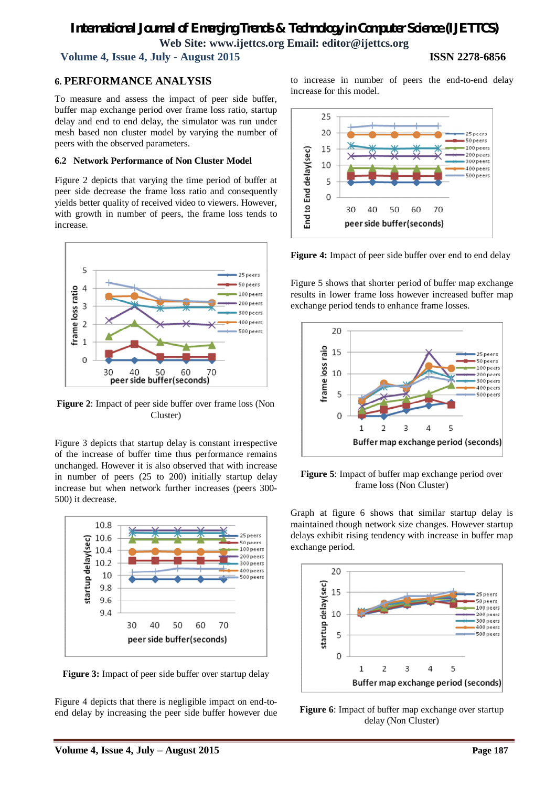**Volume 4, Issue 4, July - August 2015 ISSN 2278-6856**

### **6. PERFORMANCE ANALYSIS**

To measure and assess the impact of peer side buffer, buffer map exchange period over frame loss ratio, startup delay and end to end delay, the simulator was run under mesh based non cluster model by varying the number of peers with the observed parameters.

#### **6.2 Network Performance of Non Cluster Model**

Figure 2 depicts that varying the time period of buffer at peer side decrease the frame loss ratio and consequently yields better quality of received video to viewers. However, with growth in number of peers, the frame loss tends to increase.



**Figure 2**: Impact of peer side buffer over frame loss (Non Cluster)

Figure 3 depicts that startup delay is constant irrespective of the increase of buffer time thus performance remains unchanged. However it is also observed that with increase in number of peers (25 to 200) initially startup delay increase but when network further increases (peers 300- 500) it decrease.



**Figure 3:** Impact of peer side buffer over startup delay

Figure 4 depicts that there is negligible impact on end-toend delay by increasing the peer side buffer however due to increase in number of peers the end-to-end delay increase for this model.



**Figure 4:** Impact of peer side buffer over end to end delay

Figure 5 shows that shorter period of buffer map exchange results in lower frame loss however increased buffer map exchange period tends to enhance frame losses.



**Figure 5**: Impact of buffer map exchange period over frame loss (Non Cluster)

Graph at figure 6 shows that similar startup delay is maintained though network size changes. However startup delays exhibit rising tendency with increase in buffer map exchange period.



**Figure 6**: Impact of buffer map exchange over startup delay (Non Cluster)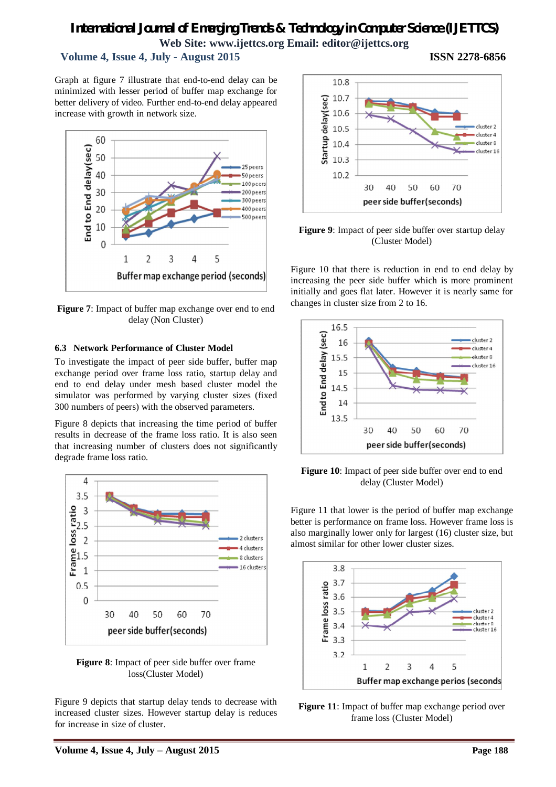### **Volume 4, Issue 4, July - August 2015 ISSN 2278-6856**

Graph at figure 7 illustrate that end-to-end delay can be minimized with lesser period of buffer map exchange for better delivery of video. Further end-to-end delay appeared increase with growth in network size.



**Figure 7**: Impact of buffer map exchange over end to end delay (Non Cluster)

### **6.3 Network Performance of Cluster Model**

To investigate the impact of peer side buffer, buffer map exchange period over frame loss ratio, startup delay and end to end delay under mesh based cluster model the simulator was performed by varying cluster sizes (fixed 300 numbers of peers) with the observed parameters.

Figure 8 depicts that increasing the time period of buffer results in decrease of the frame loss ratio. It is also seen that increasing number of clusters does not significantly degrade frame loss ratio.



**Figure 8**: Impact of peer side buffer over frame loss(Cluster Model)

Figure 9 depicts that startup delay tends to decrease with increased cluster sizes. However startup delay is reduces for increase in size of cluster.



**Figure 9**: Impact of peer side buffer over startup delay (Cluster Model)

Figure 10 that there is reduction in end to end delay by increasing the peer side buffer which is more prominent initially and goes flat later. However it is nearly same for changes in cluster size from 2 to 16.



**Figure 10**: Impact of peer side buffer over end to end delay (Cluster Model)

Figure 11 that lower is the period of buffer map exchange better is performance on frame loss. However frame loss is also marginally lower only for largest (16) cluster size, but almost similar for other lower cluster sizes.



**Figure 11**: Impact of buffer map exchange period over frame loss (Cluster Model)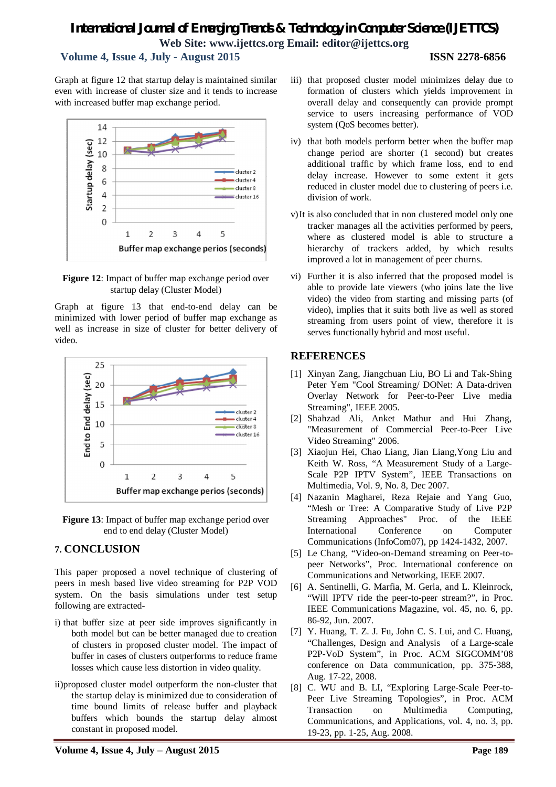## **Volume 4, Issue 4, July - August 2015 ISSN 2278-6856**

Graph at figure 12 that startup delay is maintained similar even with increase of cluster size and it tends to increase with increased buffer map exchange period.





Graph at figure 13 that end-to-end delay can be minimized with lower period of buffer map exchange as well as increase in size of cluster for better delivery of video.



**Figure 13**: Impact of buffer map exchange period over end to end delay (Cluster Model)

### **7. CONCLUSION**

This paper proposed a novel technique of clustering of peers in mesh based live video streaming for P2P VOD system. On the basis simulations under test setup following are extracted-

- i) that buffer size at peer side improves significantly in both model but can be better managed due to creation of clusters in proposed cluster model. The impact of buffer in cases of clusters outperforms to reduce frame losses which cause less distortion in video quality.
- ii)proposed cluster model outperform the non-cluster that the startup delay is minimized due to consideration of time bound limits of release buffer and playback buffers which bounds the startup delay almost constant in proposed model.
- iii) that proposed cluster model minimizes delay due to formation of clusters which yields improvement in overall delay and consequently can provide prompt service to users increasing performance of VOD system (QoS becomes better).
- iv) that both models perform better when the buffer map change period are shorter (1 second) but creates additional traffic by which frame loss, end to end delay increase. However to some extent it gets reduced in cluster model due to clustering of peers i.e. division of work.
- v)It is also concluded that in non clustered model only one tracker manages all the activities performed by peers, where as clustered model is able to structure a hierarchy of trackers added, by which results improved a lot in management of peer churns.
- vi) Further it is also inferred that the proposed model is able to provide late viewers (who joins late the live video) the video from starting and missing parts (of video), implies that it suits both live as well as stored streaming from users point of view, therefore it is serves functionally hybrid and most useful.

### **REFERENCES**

- [1] Xinyan Zang, Jiangchuan Liu, BO Li and Tak-Shing Peter Yem "Cool Streaming/ DONet: A Data-driven Overlay Network for Peer-to-Peer Live media Streaming", IEEE 2005.
- [2] Shahzad Ali, Anket Mathur and Hui Zhang, "Measurement of Commercial Peer-to-Peer Live Video Streaming" 2006.
- [3] Xiaojun Hei, Chao Liang, Jian Liang,Yong Liu and Keith W. Ross, "A Measurement Study of a Large-Scale P2P IPTV System", IEEE Transactions on Multimedia, Vol. 9, No. 8, Dec 2007.
- [4] Nazanin Magharei, Reza Rejaie and Yang Guo, "Mesh or Tree: A Comparative Study of Live P2P Streaming Approaches" Proc. of the IEEE International Conference on Computer Communications (InfoCom07), pp 1424-1432, 2007.
- [5] Le Chang, "Video-on-Demand streaming on Peer-topeer Networks", Proc. International conference on Communications and Networking, IEEE 2007.
- [6] A. Sentinelli, G. Marfia, M. Gerla, and L. Kleinrock, "Will IPTV ride the peer-to-peer stream?", in Proc. IEEE Communications Magazine, vol. 45, no. 6, pp. 86-92, Jun. 2007.
- [7] Y. Huang, T. Z. J. Fu, John C. S. Lui, and C. Huang, "Challenges, Design and Analysis of a Large-scale P2P-VoD System", in Proc. ACM SIGCOMM'08 conference on Data communication, pp. 375-388, Aug. 17-22, 2008.
- [8] C. WU and B. LI, "Exploring Large-Scale Peer-to-Peer Live Streaming Topologies", in Proc. ACM Transaction on Multimedia Computing, Communications, and Applications, vol. 4, no. 3, pp. 19-23, pp. 1-25, Aug. 2008.